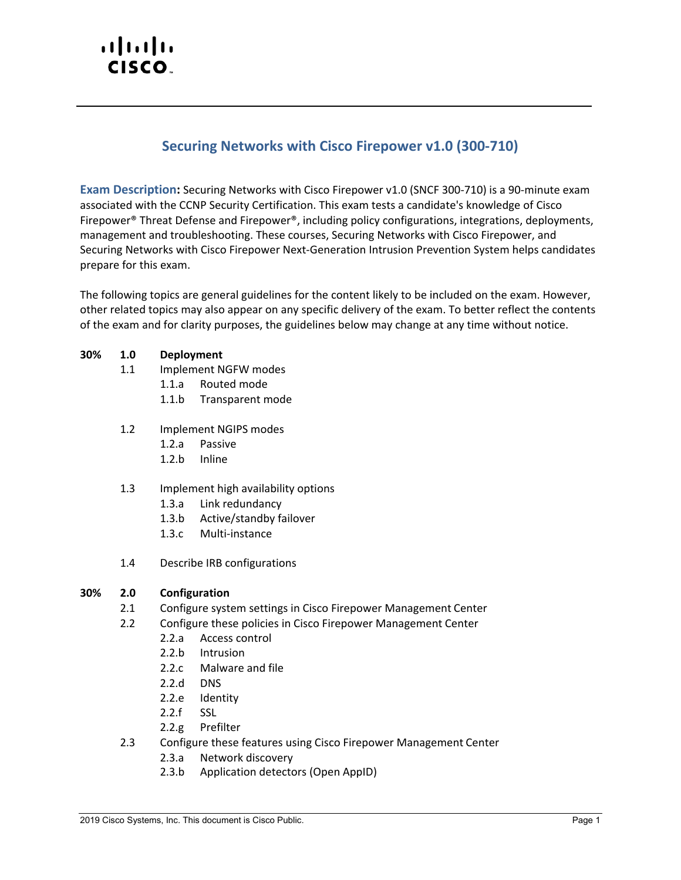# $(1)$  $(1)$ CISCO.

# **Securing Networks with Cisco Firepower v1.0 (300-710)**

**Exam Description:** Securing Networks with Cisco Firepower v1.0 (SNCF 300-710) is a 90-minute exam associated with the CCNP Security Certification. This exam tests a candidate's knowledge of Cisco Firepower® Threat Defense and Firepower®, including policy configurations, integrations, deployments, management and troubleshooting. These courses, Securing Networks with Cisco Firepower, and Securing Networks with Cisco Firepower Next-Generation Intrusion Prevention System helps candidates prepare for this exam.

The following topics are general guidelines for the content likely to be included on the exam. However, other related topics may also appear on any specific delivery of the exam. To better reflect the contents of the exam and for clarity purposes, the guidelines below may change at any time without notice.

## **30% 1.0 Deployment**

- 1.1 Implement NGFW modes
	- 1.1.a Routed mode
	- 1.1.b Transparent mode
- 1.2 Implement NGIPS modes
	- 1.2.a Passive
	- 1.2.b Inline
- 1.3 Implement high availability options
	- 1.3.a Link redundancy
	- 1.3.b Active/standby failover
	- 1.3.c Multi-instance
- 1.4 Describe IRB configurations

#### **30% 2.0 Configuration**

- 2.1 Configure system settings in Cisco Firepower Management Center
- 2.2 Configure these policies in Cisco Firepower Management Center
	- 2.2.a Access control
	- 2.2.b Intrusion
	- 2.2.c Malware and file
	- 2.2.d DNS
	- 2.2.e Identity
	- 2.2.f SSL
	- 2.2.g Prefilter
- 2.3 Configure these features using Cisco Firepower Management Center
	- 2.3.a Network discovery
	- 2.3.b Application detectors (Open AppID)